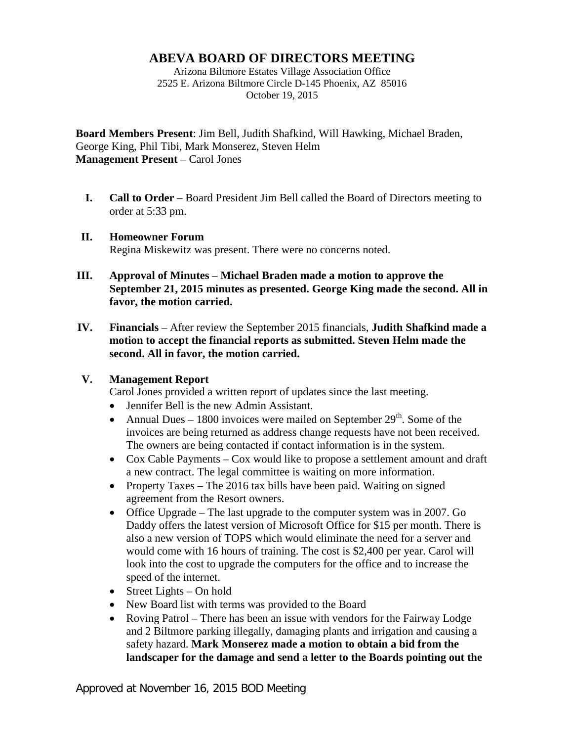## **ABEVA BOARD OF DIRECTORS MEETING**

Arizona Biltmore Estates Village Association Office 2525 E. Arizona Biltmore Circle D-145 Phoenix, AZ 85016 October 19, 2015

**Board Members Present**: Jim Bell, Judith Shafkind, Will Hawking, Michael Braden, George King, Phil Tibi, Mark Monserez, Steven Helm **Management Present** – Carol Jones

**I. Call to Order** – Board President Jim Bell called the Board of Directors meeting to order at 5:33 pm.

## **II. Homeowner Forum** Regina Miskewitz was present. There were no concerns noted.

- **III. Approval of Minutes Michael Braden made a motion to approve the September 21, 2015 minutes as presented. George King made the second. All in favor, the motion carried.**
- **IV. Financials** After review the September 2015 financials, **Judith Shafkind made a motion to accept the financial reports as submitted. Steven Helm made the second. All in favor, the motion carried.**

## **V. Management Report**

Carol Jones provided a written report of updates since the last meeting.

- Jennifer Bell is the new Admin Assistant.
- Annual Dues 1800 invoices were mailed on September  $29<sup>th</sup>$ . Some of the invoices are being returned as address change requests have not been received. The owners are being contacted if contact information is in the system.
- Cox Cable Payments Cox would like to propose a settlement amount and draft a new contract. The legal committee is waiting on more information.
- Property Taxes The 2016 tax bills have been paid. Waiting on signed agreement from the Resort owners.
- Office Upgrade The last upgrade to the computer system was in 2007. Go Daddy offers the latest version of Microsoft Office for \$15 per month. There is also a new version of TOPS which would eliminate the need for a server and would come with 16 hours of training. The cost is \$2,400 per year. Carol will look into the cost to upgrade the computers for the office and to increase the speed of the internet.
- Street Lights On hold
- New Board list with terms was provided to the Board
- Roving Patrol There has been an issue with vendors for the Fairway Lodge and 2 Biltmore parking illegally, damaging plants and irrigation and causing a safety hazard. **Mark Monserez made a motion to obtain a bid from the landscaper for the damage and send a letter to the Boards pointing out the**